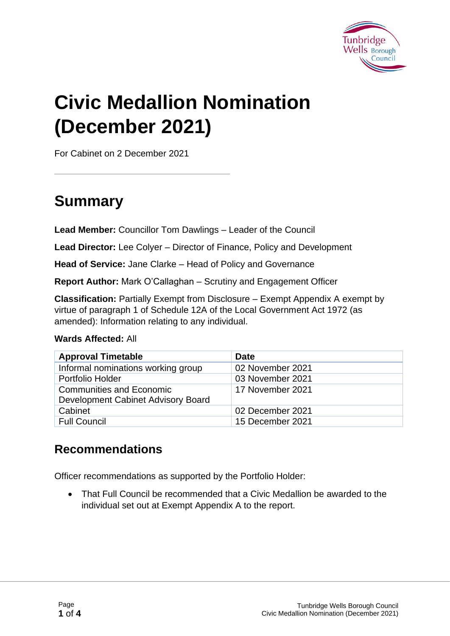

# **Civic Medallion Nomination (December 2021)**

For Cabinet on 2 December 2021

### **Summary**

**Lead Member:** Councillor Tom Dawlings – Leader of the Council

**Lead Director:** Lee Colyer – Director of Finance, Policy and Development

**Head of Service:** Jane Clarke – Head of Policy and Governance

**Report Author:** Mark O'Callaghan – Scrutiny and Engagement Officer

**Classification:** Partially Exempt from Disclosure – Exempt Appendix A exempt by virtue of paragraph 1 of Schedule 12A of the Local Government Act 1972 (as amended): Information relating to any individual.

#### **Wards Affected:** All

| <b>Approval Timetable</b>          | <b>Date</b>      |
|------------------------------------|------------------|
| Informal nominations working group | 02 November 2021 |
| Portfolio Holder                   | 03 November 2021 |
| <b>Communities and Economic</b>    | 17 November 2021 |
| Development Cabinet Advisory Board |                  |
| Cabinet                            | 02 December 2021 |
| <b>Full Council</b>                | 15 December 2021 |

#### **Recommendations**

Officer recommendations as supported by the Portfolio Holder:

• That Full Council be recommended that a Civic Medallion be awarded to the individual set out at Exempt Appendix A to the report.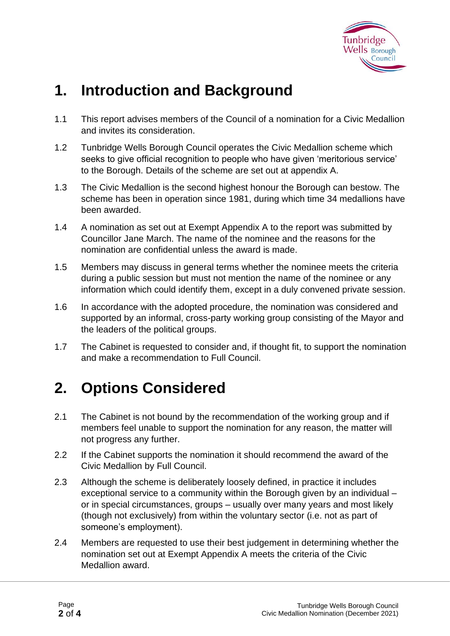

### **1. Introduction and Background**

- 1.1 This report advises members of the Council of a nomination for a Civic Medallion and invites its consideration.
- 1.2 Tunbridge Wells Borough Council operates the Civic Medallion scheme which seeks to give official recognition to people who have given 'meritorious service' to the Borough. Details of the scheme are set out at appendix A.
- 1.3 The Civic Medallion is the second highest honour the Borough can bestow. The scheme has been in operation since 1981, during which time 34 medallions have been awarded.
- 1.4 A nomination as set out at Exempt Appendix A to the report was submitted by Councillor Jane March. The name of the nominee and the reasons for the nomination are confidential unless the award is made.
- 1.5 Members may discuss in general terms whether the nominee meets the criteria during a public session but must not mention the name of the nominee or any information which could identify them, except in a duly convened private session.
- 1.6 In accordance with the adopted procedure, the nomination was considered and supported by an informal, cross-party working group consisting of the Mayor and the leaders of the political groups.
- 1.7 The Cabinet is requested to consider and, if thought fit, to support the nomination and make a recommendation to Full Council.

### **2. Options Considered**

- 2.1 The Cabinet is not bound by the recommendation of the working group and if members feel unable to support the nomination for any reason, the matter will not progress any further.
- 2.2 If the Cabinet supports the nomination it should recommend the award of the Civic Medallion by Full Council.
- 2.3 Although the scheme is deliberately loosely defined, in practice it includes exceptional service to a community within the Borough given by an individual – or in special circumstances, groups – usually over many years and most likely (though not exclusively) from within the voluntary sector (i.e. not as part of someone's employment).
- 2.4 Members are requested to use their best judgement in determining whether the nomination set out at Exempt Appendix A meets the criteria of the Civic Medallion award.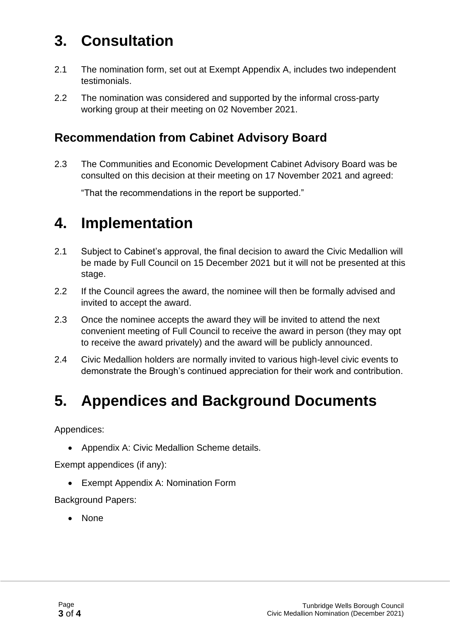## **3. Consultation**

- 2.1 The nomination form, set out at Exempt Appendix A, includes two independent testimonials.
- 2.2 The nomination was considered and supported by the informal cross-party working group at their meeting on 02 November 2021.

#### **Recommendation from Cabinet Advisory Board**

2.3 The Communities and Economic Development Cabinet Advisory Board was be consulted on this decision at their meeting on 17 November 2021 and agreed:

"That the recommendations in the report be supported."

### **4. Implementation**

- 2.1 Subject to Cabinet's approval, the final decision to award the Civic Medallion will be made by Full Council on 15 December 2021 but it will not be presented at this stage.
- 2.2 If the Council agrees the award, the nominee will then be formally advised and invited to accept the award.
- 2.3 Once the nominee accepts the award they will be invited to attend the next convenient meeting of Full Council to receive the award in person (they may opt to receive the award privately) and the award will be publicly announced.
- 2.4 Civic Medallion holders are normally invited to various high-level civic events to demonstrate the Brough's continued appreciation for their work and contribution.

### **5. Appendices and Background Documents**

Appendices:

• Appendix A: Civic Medallion Scheme details.

Exempt appendices (if any):

• Exempt Appendix A: Nomination Form

Background Papers:

• None